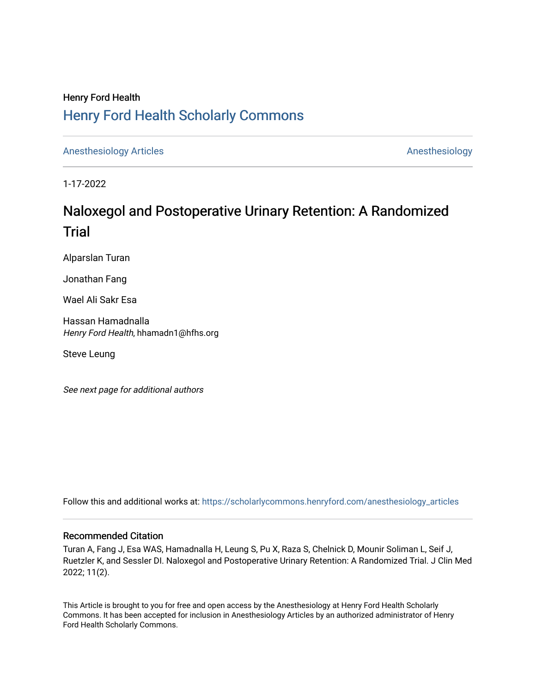# Henry Ford Health [Henry Ford Health Scholarly Commons](https://scholarlycommons.henryford.com/)

[Anesthesiology Articles](https://scholarlycommons.henryford.com/anesthesiology_articles) [Anesthesiology](https://scholarlycommons.henryford.com/anesthesiology) Articles

1-17-2022

# Naloxegol and Postoperative Urinary Retention: A Randomized **Trial**

Alparslan Turan

Jonathan Fang

Wael Ali Sakr Esa

Hassan Hamadnalla Henry Ford Health, hhamadn1@hfhs.org

Steve Leung

See next page for additional authors

Follow this and additional works at: [https://scholarlycommons.henryford.com/anesthesiology\\_articles](https://scholarlycommons.henryford.com/anesthesiology_articles?utm_source=scholarlycommons.henryford.com%2Fanesthesiology_articles%2F120&utm_medium=PDF&utm_campaign=PDFCoverPages)

## Recommended Citation

Turan A, Fang J, Esa WAS, Hamadnalla H, Leung S, Pu X, Raza S, Chelnick D, Mounir Soliman L, Seif J, Ruetzler K, and Sessler DI. Naloxegol and Postoperative Urinary Retention: A Randomized Trial. J Clin Med 2022; 11(2).

This Article is brought to you for free and open access by the Anesthesiology at Henry Ford Health Scholarly Commons. It has been accepted for inclusion in Anesthesiology Articles by an authorized administrator of Henry Ford Health Scholarly Commons.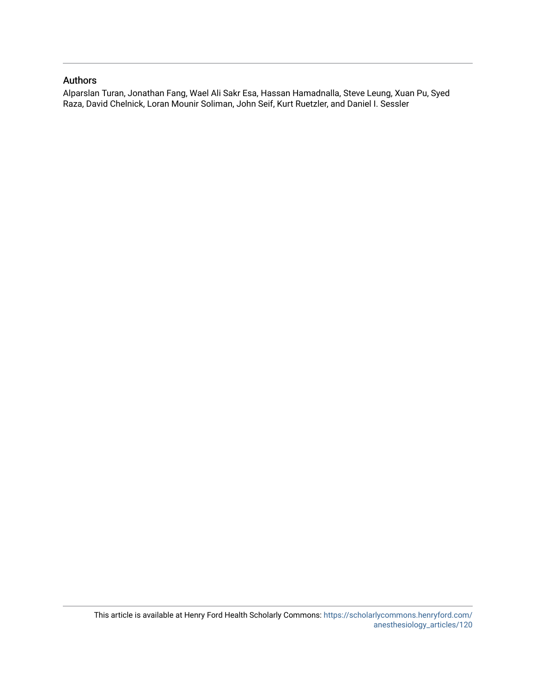# Authors

Alparslan Turan, Jonathan Fang, Wael Ali Sakr Esa, Hassan Hamadnalla, Steve Leung, Xuan Pu, Syed Raza, David Chelnick, Loran Mounir Soliman, John Seif, Kurt Ruetzler, and Daniel I. Sessler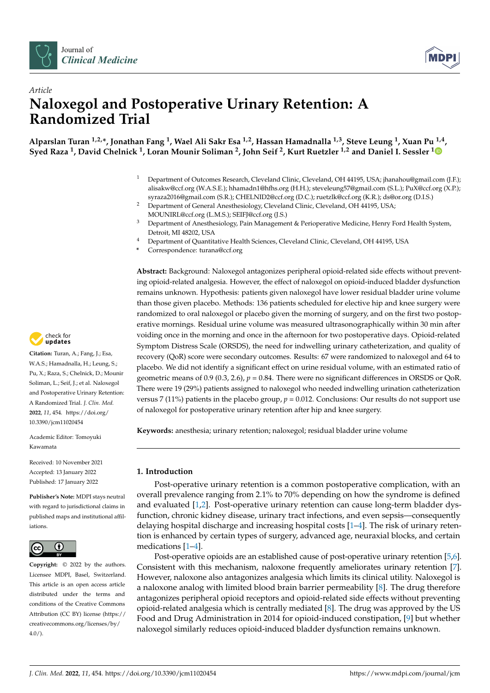



# *Article* **Naloxegol and Postoperative Urinary Retention: A Randomized Trial**

**Alparslan Turan 1,2,\*, Jonathan Fang <sup>1</sup> , Wael Ali Sakr Esa 1,2, Hassan Hamadnalla 1,3, Steve Leung <sup>1</sup> , Xuan Pu 1,4 , Syed Raza <sup>1</sup> , David Chelnick <sup>1</sup> , Loran Mounir Soliman <sup>2</sup> , John Seif <sup>2</sup> , Kurt Ruetzler 1,2 and Daniel I. Sessler [1](https://orcid.org/0000-0001-9932-3077)**

- <sup>1</sup> Department of Outcomes Research, Cleveland Clinic, Cleveland, OH 44195, USA; jhanahou@gmail.com (J.F.); alisakw@ccf.org (W.A.S.E.); hhamadn1@hfhs.org (H.H.); steveleung57@gmail.com (S.L.); PuX@ccf.org (X.P.); syraza2016@gmail.com (S.R.); CHELNID2@ccf.org (D.C.); ruetzlk@ccf.org (K.R.); ds@or.org (D.I.S.)
- <sup>2</sup> Department of General Anesthesiology, Cleveland Clinic, Cleveland, OH 44195, USA; MOUNIRL@ccf.org (L.M.S.); SEIFJ@ccf.org (J.S.)
- <sup>3</sup> Department of Anesthesiology, Pain Management & Perioperative Medicine, Henry Ford Health System, Detroit, MI 48202, USA
- <sup>4</sup> Department of Quantitative Health Sciences, Cleveland Clinic, Cleveland, OH 44195, USA
- **\*** Correspondence: turana@ccf.org

**Abstract:** Background: Naloxegol antagonizes peripheral opioid-related side effects without preventing opioid-related analgesia. However, the effect of naloxegol on opioid-induced bladder dysfunction remains unknown. Hypothesis: patients given naloxegol have lower residual bladder urine volume than those given placebo. Methods: 136 patients scheduled for elective hip and knee surgery were randomized to oral naloxegol or placebo given the morning of surgery, and on the first two postoperative mornings. Residual urine volume was measured ultrasonographically within 30 min after voiding once in the morning and once in the afternoon for two postoperative days. Opioid-related Symptom Distress Scale (ORSDS), the need for indwelling urinary catheterization, and quality of recovery (QoR) score were secondary outcomes. Results: 67 were randomized to naloxegol and 64 to placebo. We did not identify a significant effect on urine residual volume, with an estimated ratio of geometric means of 0.9 (0.3, 2.6),  $p = 0.84$ . There were no significant differences in ORSDS or QoR. There were 19 (29%) patients assigned to naloxegol who needed indwelling urination catheterization versus 7 (11%) patients in the placebo group,  $p = 0.012$ . Conclusions: Our results do not support use of naloxegol for postoperative urinary retention after hip and knee surgery.

**Keywords:** anesthesia; urinary retention; naloxegol; residual bladder urine volume

## **1. Introduction**

Post-operative urinary retention is a common postoperative complication, with an overall prevalence ranging from 2.1% to 70% depending on how the syndrome is defined and evaluated [\[1](#page-10-0)[,2\]](#page-11-0). Post-operative urinary retention can cause long-term bladder dysfunction, chronic kidney disease, urinary tract infections, and even sepsis—consequently delaying hospital discharge and increasing hospital costs [\[1](#page-10-0)[–4\]](#page-11-1). The risk of urinary retention is enhanced by certain types of surgery, advanced age, neuraxial blocks, and certain medications [\[1–](#page-10-0)[4\]](#page-11-1).

Post-operative opioids are an established cause of post-operative urinary retention [\[5,](#page-11-2)[6\]](#page-11-3). Consistent with this mechanism, naloxone frequently ameliorates urinary retention [\[7\]](#page-11-4). However, naloxone also antagonizes analgesia which limits its clinical utility. Naloxegol is a naloxone analog with limited blood brain barrier permeability [\[8\]](#page-11-5). The drug therefore antagonizes peripheral opioid receptors and opioid-related side effects without preventing opioid-related analgesia which is centrally mediated [\[8\]](#page-11-5). The drug was approved by the US Food and Drug Administration in 2014 for opioid-induced constipation, [\[9\]](#page-11-6) but whether naloxegol similarly reduces opioid-induced bladder dysfunction remains unknown.



**Citation:** Turan, A.; Fang, J.; Esa, W.A.S.; Hamadnalla, H.; Leung, S.; Pu, X.; Raza, S.; Chelnick, D.; Mounir Soliman, L.; Seif, J.; et al. Naloxegol and Postoperative Urinary Retention: A Randomized Trial. *J. Clin. Med.* **2022**, *11*, 454. [https://doi.org/](https://doi.org/10.3390/jcm11020454) [10.3390/jcm11020454](https://doi.org/10.3390/jcm11020454)

Academic Editor: Tomoyuki Kawamata

Received: 10 November 2021 Accepted: 13 January 2022 Published: 17 January 2022

**Publisher's Note:** MDPI stays neutral with regard to jurisdictional claims in published maps and institutional affiliations.



**Copyright:** © 2022 by the authors. Licensee MDPI, Basel, Switzerland. This article is an open access article distributed under the terms and conditions of the Creative Commons Attribution (CC BY) license [\(https://](https://creativecommons.org/licenses/by/4.0/) [creativecommons.org/licenses/by/](https://creativecommons.org/licenses/by/4.0/)  $4.0/$ ).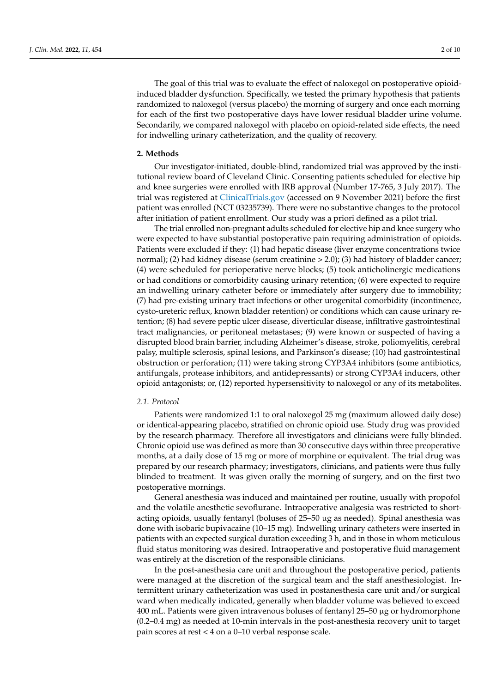The goal of this trial was to evaluate the effect of naloxegol on postoperative opioidinduced bladder dysfunction. Specifically, we tested the primary hypothesis that patients randomized to naloxegol (versus placebo) the morning of surgery and once each morning for each of the first two postoperative days have lower residual bladder urine volume. Secondarily, we compared naloxegol with placebo on opioid-related side effects, the need for indwelling urinary catheterization, and the quality of recovery.

#### **2. Methods**

Our investigator-initiated, double-blind, randomized trial was approved by the institutional review board of Cleveland Clinic. Consenting patients scheduled for elective hip and knee surgeries were enrolled with IRB approval (Number 17-765, 3 July 2017). The trial was registered at <ClinicalTrials.gov> (accessed on 9 November 2021) before the first patient was enrolled (NCT 03235739). There were no substantive changes to the protocol after initiation of patient enrollment. Our study was a priori defined as a pilot trial.

The trial enrolled non-pregnant adults scheduled for elective hip and knee surgery who were expected to have substantial postoperative pain requiring administration of opioids. Patients were excluded if they: (1) had hepatic disease (liver enzyme concentrations twice normal); (2) had kidney disease (serum creatinine  $>$  2.0); (3) had history of bladder cancer; (4) were scheduled for perioperative nerve blocks; (5) took anticholinergic medications or had conditions or comorbidity causing urinary retention; (6) were expected to require an indwelling urinary catheter before or immediately after surgery due to immobility; (7) had pre-existing urinary tract infections or other urogenital comorbidity (incontinence, cysto-ureteric reflux, known bladder retention) or conditions which can cause urinary retention; (8) had severe peptic ulcer disease, diverticular disease, infiltrative gastrointestinal tract malignancies, or peritoneal metastases; (9) were known or suspected of having a disrupted blood brain barrier, including Alzheimer's disease, stroke, poliomyelitis, cerebral palsy, multiple sclerosis, spinal lesions, and Parkinson's disease; (10) had gastrointestinal obstruction or perforation; (11) were taking strong CYP3A4 inhibitors (some antibiotics, antifungals, protease inhibitors, and antidepressants) or strong CYP3A4 inducers, other opioid antagonists; or, (12) reported hypersensitivity to naloxegol or any of its metabolites.

#### *2.1. Protocol*

Patients were randomized 1:1 to oral naloxegol 25 mg (maximum allowed daily dose) or identical-appearing placebo, stratified on chronic opioid use. Study drug was provided by the research pharmacy. Therefore all investigators and clinicians were fully blinded. Chronic opioid use was defined as more than 30 consecutive days within three preoperative months, at a daily dose of 15 mg or more of morphine or equivalent. The trial drug was prepared by our research pharmacy; investigators, clinicians, and patients were thus fully blinded to treatment. It was given orally the morning of surgery, and on the first two postoperative mornings.

General anesthesia was induced and maintained per routine, usually with propofol and the volatile anesthetic sevoflurane. Intraoperative analgesia was restricted to shortacting opioids, usually fentanyl (boluses of  $25-50 \mu$ g as needed). Spinal anesthesia was done with isobaric bupivacaine (10–15 mg). Indwelling urinary catheters were inserted in patients with an expected surgical duration exceeding 3 h, and in those in whom meticulous fluid status monitoring was desired. Intraoperative and postoperative fluid management was entirely at the discretion of the responsible clinicians.

In the post-anesthesia care unit and throughout the postoperative period, patients were managed at the discretion of the surgical team and the staff anesthesiologist. Intermittent urinary catheterization was used in postanesthesia care unit and/or surgical ward when medically indicated, generally when bladder volume was believed to exceed 400 mL. Patients were given intravenous boluses of fentanyl 25–50 µg or hydromorphone (0.2–0.4 mg) as needed at 10-min intervals in the post-anesthesia recovery unit to target pain scores at rest < 4 on a 0–10 verbal response scale.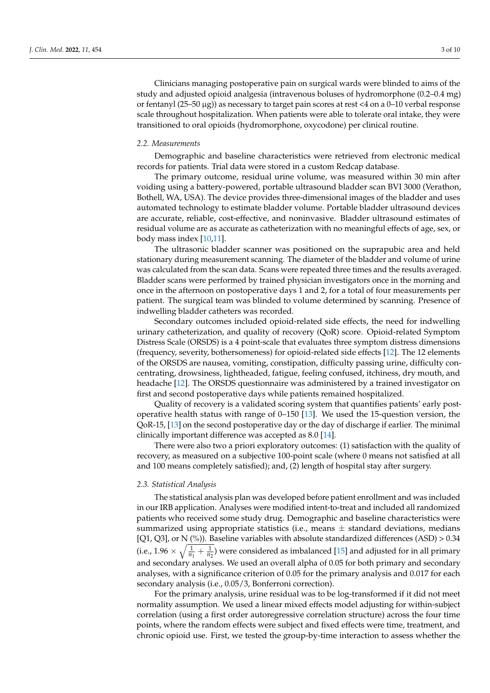Clinicians managing postoperative pain on surgical wards were blinded to aims of the study and adjusted opioid analgesia (intravenous boluses of hydromorphone (0.2–0.4 mg) or fentanyl (25–50  $\mu$ g)) as necessary to target pain scores at rest <4 on a 0–10 verbal response scale throughout hospitalization. When patients were able to tolerate oral intake, they were transitioned to oral opioids (hydromorphone, oxycodone) per clinical routine.

#### *2.2. Measurements*

Demographic and baseline characteristics were retrieved from electronic medical records for patients. Trial data were stored in a custom Redcap database.

The primary outcome, residual urine volume, was measured within 30 min after voiding using a battery-powered, portable ultrasound bladder scan BVI 3000 (Verathon, Bothell, WA, USA). The device provides three-dimensional images of the bladder and uses automated technology to estimate bladder volume. Portable bladder ultrasound devices are accurate, reliable, cost-effective, and noninvasive. Bladder ultrasound estimates of residual volume are as accurate as catheterization with no meaningful effects of age, sex, or body mass index [\[10,](#page-11-7)[11\]](#page-11-8).

The ultrasonic bladder scanner was positioned on the suprapubic area and held stationary during measurement scanning. The diameter of the bladder and volume of urine was calculated from the scan data. Scans were repeated three times and the results averaged. Bladder scans were performed by trained physician investigators once in the morning and once in the afternoon on postoperative days 1 and 2, for a total of four measurements per patient. The surgical team was blinded to volume determined by scanning. Presence of indwelling bladder catheters was recorded.

Secondary outcomes included opioid-related side effects, the need for indwelling urinary catheterization, and quality of recovery (QoR) score. Opioid-related Symptom Distress Scale (ORSDS) is a 4 point-scale that evaluates three symptom distress dimensions (frequency, severity, bothersomeness) for opioid-related side effects [\[12\]](#page-11-9). The 12 elements of the ORSDS are nausea, vomiting, constipation, difficulty passing urine, difficulty concentrating, drowsiness, lightheaded, fatigue, feeling confused, itchiness, dry mouth, and headache [\[12\]](#page-11-9). The ORSDS questionnaire was administered by a trained investigator on first and second postoperative days while patients remained hospitalized.

Quality of recovery is a validated scoring system that quantifies patients' early postoperative health status with range of 0–150 [\[13\]](#page-11-10). We used the 15-question version, the QoR-15, [\[13\]](#page-11-10) on the second postoperative day or the day of discharge if earlier. The minimal clinically important difference was accepted as 8.0 [\[14\]](#page-11-11).

There were also two a priori exploratory outcomes: (1) satisfaction with the quality of recovery, as measured on a subjective 100-point scale (where 0 means not satisfied at all and 100 means completely satisfied); and, (2) length of hospital stay after surgery.

#### *2.3. Statistical Analysis*

The statistical analysis plan was developed before patient enrollment and was included in our IRB application. Analyses were modified intent-to-treat and included all randomized patients who received some study drug. Demographic and baseline characteristics were summarized using appropriate statistics (i.e., means  $\pm$  standard deviations, medians [Q1, Q3], or N (%)). Baseline variables with absolute standardized differences (ASD)  $> 0.34$ (i.e., 1.96  $\times \sqrt{\frac{1}{n}}$  $\frac{1}{n_1} + \frac{1}{n_2}$ ) were considered as imbalanced [\[15\]](#page-11-12) and adjusted for in all primary and secondary analyses. We used an overall alpha of 0.05 for both primary and secondary analyses, with a significance criterion of 0.05 for the primary analysis and 0.017 for each secondary analysis (i.e., 0.05/3, Bonferroni correction).

For the primary analysis, urine residual was to be log-transformed if it did not meet normality assumption. We used a linear mixed effects model adjusting for within-subject correlation (using a first order autoregressive correlation structure) across the four time points, where the random effects were subject and fixed effects were time, treatment, and chronic opioid use. First, we tested the group-by-time interaction to assess whether the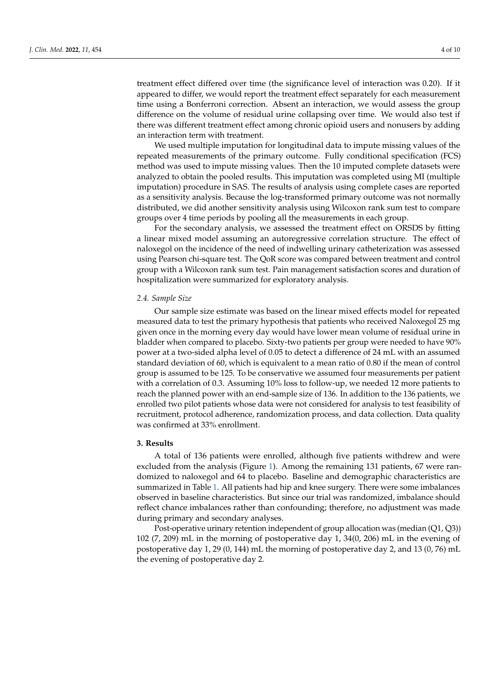treatment effect differed over time (the significance level of interaction was 0.20). If it appeared to differ, we would report the treatment effect separately for each measurement time using a Bonferroni correction. Absent an interaction, we would assess the group difference on the volume of residual urine collapsing over time. We would also test if there was different treatment effect among chronic opioid users and nonusers by adding an interaction term with treatment.

We used multiple imputation for longitudinal data to impute missing values of the repeated measurements of the primary outcome. Fully conditional specification (FCS) method was used to impute missing values. Then the 10 imputed complete datasets were analyzed to obtain the pooled results. This imputation was completed using MI (multiple imputation) procedure in SAS. The results of analysis using complete cases are reported as a sensitivity analysis. Because the log-transformed primary outcome was not normally distributed, we did another sensitivity analysis using Wilcoxon rank sum test to compare groups over 4 time periods by pooling all the measurements in each group.

For the secondary analysis, we assessed the treatment effect on ORSDS by fitting a linear mixed model assuming an autoregressive correlation structure. The effect of naloxegol on the incidence of the need of indwelling urinary catheterization was assessed using Pearson chi-square test. The QoR score was compared between treatment and control group with a Wilcoxon rank sum test. Pain management satisfaction scores and duration of hospitalization were summarized for exploratory analysis.

#### *2.4. Sample Size*

Our sample size estimate was based on the linear mixed effects model for repeated measured data to test the primary hypothesis that patients who received Naloxegol 25 mg given once in the morning every day would have lower mean volume of residual urine in bladder when compared to placebo. Sixty-two patients per group were needed to have 90% power at a two-sided alpha level of 0.05 to detect a difference of 24 mL with an assumed standard deviation of 60, which is equivalent to a mean ratio of 0.80 if the mean of control group is assumed to be 125. To be conservative we assumed four measurements per patient with a correlation of 0.3. Assuming 10% loss to follow-up, we needed 12 more patients to reach the planned power with an end-sample size of 136. In addition to the 136 patients, we enrolled two pilot patients whose data were not considered for analysis to test feasibility of recruitment, protocol adherence, randomization process, and data collection. Data quality was confirmed at 33% enrollment.

#### **3. Results**

A total of 136 patients were enrolled, although five patients withdrew and were excluded from the analysis (Figure [1\)](#page-6-0). Among the remaining 131 patients, 67 were randomized to naloxegol and 64 to placebo. Baseline and demographic characteristics are summarized in Table [1.](#page-6-1) All patients had hip and knee surgery. There were some imbalances observed in baseline characteristics. But since our trial was randomized, imbalance should reflect chance imbalances rather than confounding; therefore, no adjustment was made during primary and secondary analyses.

Post-operative urinary retention independent of group allocation was (median (Q1, Q3)) 102 (7, 209) mL in the morning of postoperative day 1, 34(0, 206) mL in the evening of postoperative day 1, 29 (0, 144) mL the morning of postoperative day 2, and 13 (0, 76) mL the evening of postoperative day 2.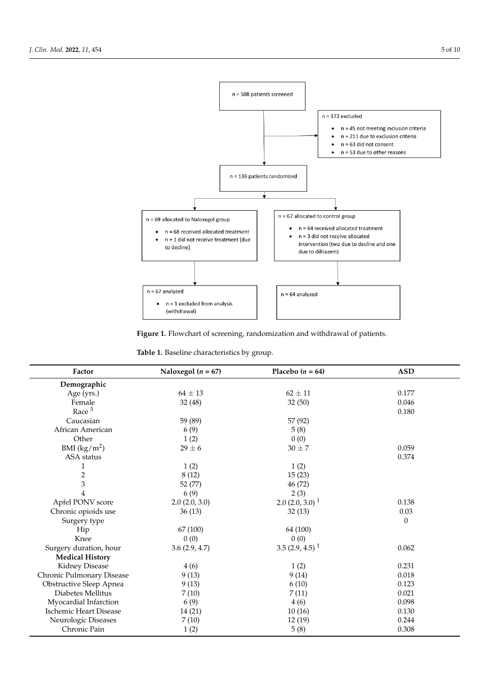<span id="page-6-0"></span>

**Figure 1.** Flowchart of screening, randomization and withdrawal of patients. **Figure 1.** Flowchart of screening, randomization and withdrawal of patients.

<span id="page-6-1"></span>**Table 1.** Baseline characteristics by group. **Table 1.** Baseline characteristics by group.

| Factor                        | Naloxegol ( $n = 67$ ) | Placebo $(n = 64)$            | <b>ASD</b>       |
|-------------------------------|------------------------|-------------------------------|------------------|
| Demographic                   |                        |                               |                  |
| Age (yrs.)                    | $64 \pm 13$            | $62 \pm 11$                   | 0.177            |
| Female                        | 32(48)                 | 32(50)                        | 0.046            |
| Race $3$                      |                        |                               | 0.180            |
| Caucasian                     | 59 (89)                | 57 (92)                       |                  |
| African American              | 6(9)                   | 5(8)                          |                  |
| Other                         | 1(2)                   | 0(0)                          |                  |
| BMI $(kg/m^2)$                | $29 \pm 6$             | $30 \pm 7$                    | 0.059            |
| ASA status                    |                        |                               | 0.374            |
| 1                             | 1(2)                   | 1(2)                          |                  |
| $\overline{\mathbf{c}}$       | 8(12)                  | 15(23)                        |                  |
| 3                             | 52 (77)                | 46 (72)                       |                  |
| 4                             | 6(9)                   | 2(3)                          |                  |
| Apfel PONV score              | 2.0(2.0, 3.0)          | $2.0$ (2.0, 3.0) <sup>1</sup> | 0.138            |
| Chronic opioids use           | 36(13)                 | 32(13)                        | 0.03             |
| Surgery type                  |                        |                               | $\boldsymbol{0}$ |
| Hip                           | 67 (100)               | 64 (100)                      |                  |
| Knee                          | 0(0)                   | 0(0)                          |                  |
| Surgery duration, hour        | 3.6(2.9, 4.7)          | $3.5(2.9, 4.5)^1$             | 0.062            |
| <b>Medical History</b>        |                        |                               |                  |
| Kidney Disease                | 4(6)                   | 1(2)                          | 0.231            |
| Chronic Pulmonary Disease     | 9(13)                  | 9(14)                         | 0.018            |
| Obstructive Sleep Apnea       | 9(13)                  | 6(10)                         | 0.123            |
| Diabetes Mellitus             | 7(10)                  | 7(11)                         | 0.021            |
| Myocardial Infarction         | 6(9)                   | 4(6)                          | 0.098            |
| <b>Ischemic Heart Disease</b> | 14 (21)                |                               | 0.130            |
| Neurologic Diseases           | 7(10)                  | 12(19)                        | 0.244            |
| Chronic Pain                  | 1(2)                   | 5(8)                          | 0.308            |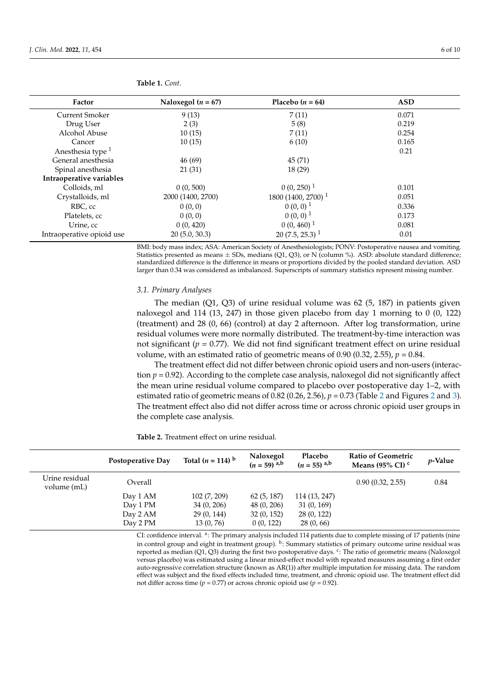| Factor                       | Naloxegol ( $n = 67$ ) | Placebo $(n = 64)$             | <b>ASD</b> |
|------------------------------|------------------------|--------------------------------|------------|
| <b>Current Smoker</b>        | 9(13)                  | 7(11)                          | 0.071      |
| Drug User                    | 2(3)                   | 5(8)                           | 0.219      |
| Alcohol Abuse                | 10(15)                 | 7(11)                          | 0.254      |
| Cancer                       | 10(15)                 | 6(10)                          | 0.165      |
| Anesthesia type <sup>1</sup> |                        |                                | 0.21       |
| General anesthesia           | 46(69)                 | 45 (71)                        |            |
| Spinal anesthesia            | 21(31)                 | 18 (29)                        |            |
| Intraoperative variables     |                        |                                |            |
| Colloids, ml                 | 0(0, 500)              | $0(0, 250)^1$                  | 0.101      |
| Crystalloids, ml             | 2000 (1400, 2700)      | 1800 (1400, 2700) <sup>1</sup> | 0.051      |
| RBC, cc                      | 0(0, 0)                | $0(0,0)$ <sup>1</sup>          | 0.336      |
| Platelets, cc                | 0(0, 0)                | $0(0, 0)$ <sup>1</sup>         | 0.173      |
| Urine, cc                    | 0(0, 420)              | $0(0, 460)^1$                  | 0.081      |
| Intraoperative opioid use    | 20(5.0, 30.3)          | $20(7.5, 25.3)^{1}$            | 0.01       |

**Table 1.** *Cont.*

BMI: body mass index; ASA: American Society of Anesthesiologists; PONV: Postoperative nausea and vomiting. Statistics presented as means  $\pm$  SDs, medians (Q1, Q3), or N (column %). ASD: absolute standard difference; standardized difference is the difference in means or proportions divided by the pooled standard deviation. ASD larger than 0.34 was considered as imbalanced. Superscripts of summary statistics represent missing number.

#### *3.1. Primary Analyses*

The median  $(Q1, Q3)$  of urine residual volume was 62 (5, 187) in patients given naloxegol and 114 (13, 247) in those given placebo from day 1 morning to 0 (0, 122) (treatment) and 28 (0, 66) (control) at day 2 afternoon. After log transformation, urine residual volumes were more normally distributed. The treatment-by-time interaction was not significant ( $p = 0.77$ ). We did not find significant treatment effect on urine residual volume, with an estimated ratio of geometric means of  $0.90$  ( $0.32$ ,  $2.55$ ),  $p = 0.84$ .

The treatment effect did not differ between chronic opioid users and non-users (interaction *p* = 0.92). According to the complete case analysis, naloxegol did not significantly affect the mean urine residual volume compared to placebo over postoperative day 1–2, with estimated ratio of geometric means of 0.82 (0.26, 2.56), *p* = 0.73 (Table [2](#page-7-0) and Figures [2](#page-8-0) and [3\)](#page-8-1). The treatment effect also did not differ across time or across chronic opioid user groups in the complete case analysis.

<span id="page-7-0"></span>**Table 2.** Treatment effect on urine residual.

|                               | Postoperative Day | Total $(n = 114)$ <sup>b</sup> | Naloxegol<br>$(n = 59)$ a,b | Placebo<br>$(n = 55)$ <sup>a<sub>,b</sub></sup> | <b>Ratio of Geometric</b><br>Means (95% CI) $\degree$ | <i>v</i> -Value |
|-------------------------------|-------------------|--------------------------------|-----------------------------|-------------------------------------------------|-------------------------------------------------------|-----------------|
| Urine residual<br>volume (mL) | Overall           |                                |                             |                                                 | 0.90(0.32, 2.55)                                      | 0.84            |
|                               | Day 1 AM          | 102 (7, 209)                   | 62(5, 187)                  | 114 (13, 247)                                   |                                                       |                 |
|                               | Day 1 PM          | 34(0, 206)                     | 48 (0, 206)                 | 31(0, 169)                                      |                                                       |                 |
|                               | Day 2 AM          | 29(0, 144)                     | 32(0, 152)                  | 28 (0, 122)                                     |                                                       |                 |
|                               | Day 2 PM          | 13(0, 76)                      | 0(0, 122)                   | 28(0, 66)                                       |                                                       |                 |

CI: confidence interval. <sup>a</sup>: The primary analysis included 114 patients due to complete missing of 17 patients (nine in control group and eight in treatment group). <sup>b</sup>: Summary statistics of primary outcome urine residual was reported as median (Q1, Q3) during the first two postoperative days. <sup>c</sup>: The ratio of geometric means (Naloxegol versus placebo) was estimated using a linear mixed-effect model with repeated measures assuming a first order auto-regressive correlation structure (known as AR(1)) after multiple imputation for missing data. The random effect was subject and the fixed effects included time, treatment, and chronic opioid use. The treatment effect did not differ across time ( $p = 0.77$ ) or across chronic opioid use ( $p = 0.92$ ).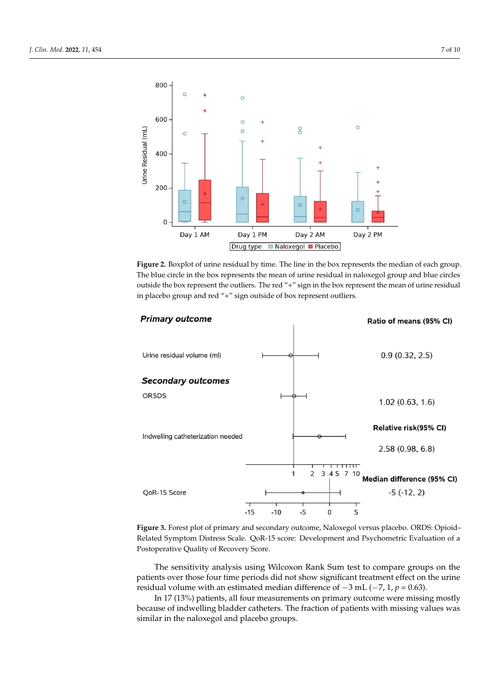<span id="page-8-0"></span>

**Figure 2.** Boxplot of urine residual by time. The line in the box represents the median of each group. The blue circle in the box represents the mean of urine residual in naloxegol group and blue circles outside the box represent the outliers. The red "+" sign in the box represent the mean of urine residual in placebo group and red "+" sign outside of box represent outliers.

*J. Clin. Med.* **2022**, *11*, x FOR PEER REVIEW 7 of 10

<span id="page-8-1"></span>

Related Symptom Distress Scale. QoR-15 score: Development and Psychometric Evaluation of a Postoperative Quality of Recovery Score.  $\overline{\phantom{a}}$ **Figure 3.** Forest plot of primary and secondary outcome, Naloxegol versus placebo. ORDS: Opioid–

patients over those four time periods did not show significant treatment effect on the urine residual volume with an estimated median difference of  $-3$  mL ( $-7$ , 1,  $p = 0.63$ ). The sensitivity analysis using Wilcoxon Rank Sum test to compare groups on the

In 17 (13%) patients, all four measurements on primary outcome were missing mostly because of indwelling bladder catheters. The fraction of patients with missing values was similar in the naloxegol and placebo groups.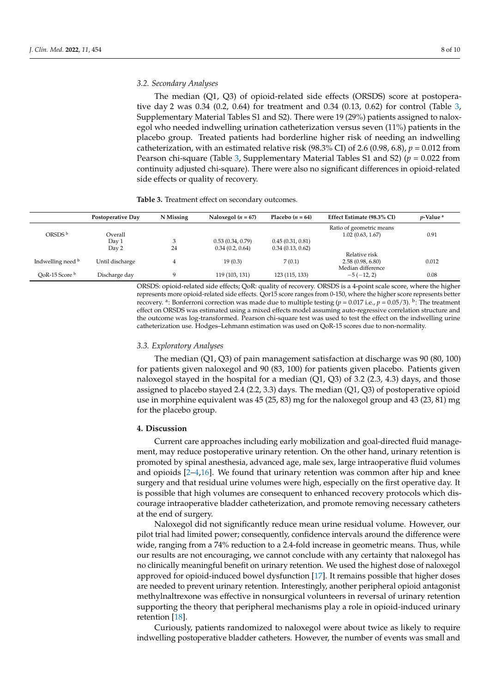#### *3.2. Secondary Analyses*

The median (Q1, Q3) of opioid-related side effects (ORSDS) score at postoperative day 2 was 0.34 (0.2, 0.64) for treatment and 0.34 (0.13, 0.62) for control (Table [3,](#page-9-0) Supplementary Material Tables S1 and S2). There were 19 (29%) patients assigned to naloxegol who needed indwelling urination catheterization versus seven (11%) patients in the placebo group. Treated patients had borderline higher risk of needing an indwelling catheterization, with an estimated relative risk (98.3% CI) of 2.6 (0.98, 6.8),  $p = 0.012$  from Pearson chi-square (Table [3,](#page-9-0) Supplementary Material Tables S1 and S2) (*p* = 0.022 from continuity adjusted chi-square). There were also no significant differences in opioid-related side effects or quality of recovery.

<span id="page-9-0"></span>

|                           | Postoperative Day | N Missing | Naloxegol ( $n = 67$ ) | Placebo $(n = 64)$ | Effect Estimate (98.3% CI)                             | $p$ -Value <sup>a</sup> |
|---------------------------|-------------------|-----------|------------------------|--------------------|--------------------------------------------------------|-------------------------|
| ORSDS b                   | Overall           |           |                        |                    | Ratio of geometric means<br>1.02(0.63, 1.67)           | 0.91                    |
|                           | Day 1             |           | 0.53(0.34, 0.79)       | 0.45(0.31, 0.81)   |                                                        |                         |
|                           | Day 2             | 24        | 0.34(0.2, 0.64)        | 0.34(0.13, 0.62)   |                                                        |                         |
| Indwelling need b         | Until discharge   |           | 19(0.3)                | 7(0.1)             | Relative risk<br>2.58(0.98, 6.80)<br>Median difference | 0.012                   |
| OoR-15 Score <sup>b</sup> | Discharge day     | Q         | 119 (103, 131)         | 123 (115, 133)     | $-5(-12, 2)$                                           | 0.08                    |

ORSDS: opioid-related side effects; QoR: quality of recovery. ORSDS is a 4-point scale score, where the higher represents more opioid-related side effects. Qor15 score ranges from 0-150, where the higher score represents better recovery. <sup>a</sup>: Bonferroni correction was made due to multiple testing ( $p = 0.017$  i.e.,  $p = 0.05/3$ ). <sup>b</sup>: The treatment effect on ORSDS was estimated using a mixed effects model assuming auto-regressive correlation structure and the outcome was log-transformed. Pearson chi-square test was used to test the effect on the indwelling urine catheterization use. Hodges–Lehmann estimation was used on QoR-15 scores due to non-normality.

#### *3.3. Exploratory Analyses*

The median (Q1, Q3) of pain management satisfaction at discharge was 90 (80, 100) for patients given naloxegol and 90 (83, 100) for patients given placebo. Patients given naloxegol stayed in the hospital for a median  $(Q1, Q3)$  of 3.2 (2.3, 4.3) days, and those assigned to placebo stayed 2.4 (2.2, 3.3) days. The median (Q1, Q3) of postoperative opioid use in morphine equivalent was 45 (25, 83) mg for the naloxegol group and 43 (23, 81) mg for the placebo group.

#### **4. Discussion**

Current care approaches including early mobilization and goal-directed fluid management, may reduce postoperative urinary retention. On the other hand, urinary retention is promoted by spinal anesthesia, advanced age, male sex, large intraoperative fluid volumes and opioids  $[2-4,16]$  $[2-4,16]$  $[2-4,16]$ . We found that urinary retention was common after hip and knee surgery and that residual urine volumes were high, especially on the first operative day. It is possible that high volumes are consequent to enhanced recovery protocols which discourage intraoperative bladder catheterization, and promote removing necessary catheters at the end of surgery.

Naloxegol did not significantly reduce mean urine residual volume. However, our pilot trial had limited power; consequently, confidence intervals around the difference were wide, ranging from a 74% reduction to a 2.4-fold increase in geometric means. Thus, while our results are not encouraging, we cannot conclude with any certainty that naloxegol has no clinically meaningful benefit on urinary retention. We used the highest dose of naloxegol approved for opioid-induced bowel dysfunction [\[17\]](#page-11-14). It remains possible that higher doses are needed to prevent urinary retention. Interestingly, another peripheral opioid antagonist methylnaltrexone was effective in nonsurgical volunteers in reversal of urinary retention supporting the theory that peripheral mechanisms play a role in opioid-induced urinary retention [\[18\]](#page-11-15).

Curiously, patients randomized to naloxegol were about twice as likely to require indwelling postoperative bladder catheters. However, the number of events was small and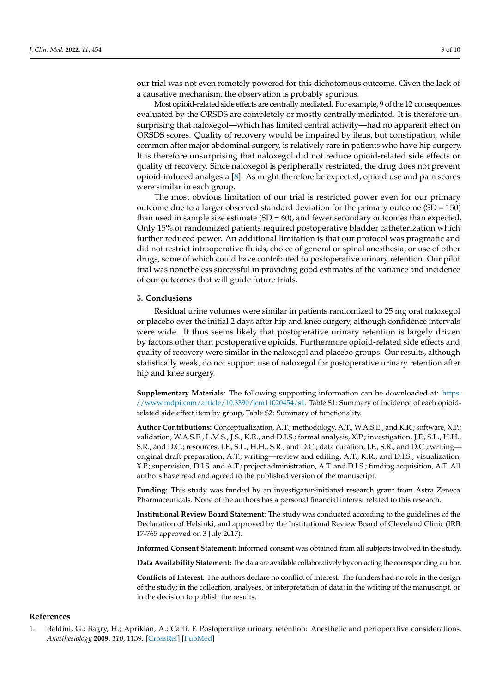our trial was not even remotely powered for this dichotomous outcome. Given the lack of

a causative mechanism, the observation is probably spurious. Most opioid-related side effects are centrally mediated. For example, 9 of the 12 consequences evaluated by the ORSDS are completely or mostly centrally mediated. It is therefore unsurprising that naloxegol—which has limited central activity—had no apparent effect on ORSDS scores. Quality of recovery would be impaired by ileus, but constipation, while common after major abdominal surgery, is relatively rare in patients who have hip surgery. It is therefore unsurprising that naloxegol did not reduce opioid-related side effects or quality of recovery. Since naloxegol is peripherally restricted, the drug does not prevent opioid-induced analgesia [\[8\]](#page-11-5). As might therefore be expected, opioid use and pain scores were similar in each group.

The most obvious limitation of our trial is restricted power even for our primary outcome due to a larger observed standard deviation for the primary outcome  $(SD = 150)$ than used in sample size estimate  $(SD = 60)$ , and fewer secondary outcomes than expected. Only 15% of randomized patients required postoperative bladder catheterization which further reduced power. An additional limitation is that our protocol was pragmatic and did not restrict intraoperative fluids, choice of general or spinal anesthesia, or use of other drugs, some of which could have contributed to postoperative urinary retention. Our pilot trial was nonetheless successful in providing good estimates of the variance and incidence of our outcomes that will guide future trials.

#### **5. Conclusions**

Residual urine volumes were similar in patients randomized to 25 mg oral naloxegol or placebo over the initial 2 days after hip and knee surgery, although confidence intervals were wide. It thus seems likely that postoperative urinary retention is largely driven by factors other than postoperative opioids. Furthermore opioid-related side effects and quality of recovery were similar in the naloxegol and placebo groups. Our results, although statistically weak, do not support use of naloxegol for postoperative urinary retention after hip and knee surgery.

**Supplementary Materials:** The following supporting information can be downloaded at: [https:](https://www.mdpi.com/article/10.3390/jcm11020454/s1) [//www.mdpi.com/article/10.3390/jcm11020454/s1.](https://www.mdpi.com/article/10.3390/jcm11020454/s1) Table S1: Summary of incidence of each opioidrelated side effect item by group, Table S2: Summary of functionality.

**Author Contributions:** Conceptualization, A.T.; methodology, A.T., W.A.S.E., and K.R.; software, X.P.; validation, W.A.S.E., L.M.S., J.S., K.R., and D.I.S.; formal analysis, X.P.; investigation, J.F., S.L., H.H., S.R., and D.C.; resources, J.F., S.L., H.H., S.R., and D.C.; data curation, J.F., S.R., and D.C.; writing original draft preparation, A.T.; writing—review and editing, A.T., K.R., and D.I.S.; visualization, X.P.; supervision, D.I.S. and A.T.; project administration, A.T. and D.I.S.; funding acquisition, A.T. All authors have read and agreed to the published version of the manuscript.

**Funding:** This study was funded by an investigator-initiated research grant from Astra Zeneca Pharmaceuticals. None of the authors has a personal financial interest related to this research.

**Institutional Review Board Statement:** The study was conducted according to the guidelines of the Declaration of Helsinki, and approved by the Institutional Review Board of Cleveland Clinic (IRB 17-765 approved on 3 July 2017).

**Informed Consent Statement:** Informed consent was obtained from all subjects involved in the study.

**Data Availability Statement:** The data are available collaboratively by contacting the corresponding author.

**Conflicts of Interest:** The authors declare no conflict of interest. The funders had no role in the design of the study; in the collection, analyses, or interpretation of data; in the writing of the manuscript, or in the decision to publish the results.

### **References**

<span id="page-10-0"></span>1. Baldini, G.; Bagry, H.; Aprikian, A.; Carli, F. Postoperative urinary retention: Anesthetic and perioperative considerations. *Anesthesiology* **2009**, *110*, 1139. [\[CrossRef\]](http://doi.org/10.1097/ALN.0b013e31819f7aea) [\[PubMed\]](http://www.ncbi.nlm.nih.gov/pubmed/19352147)